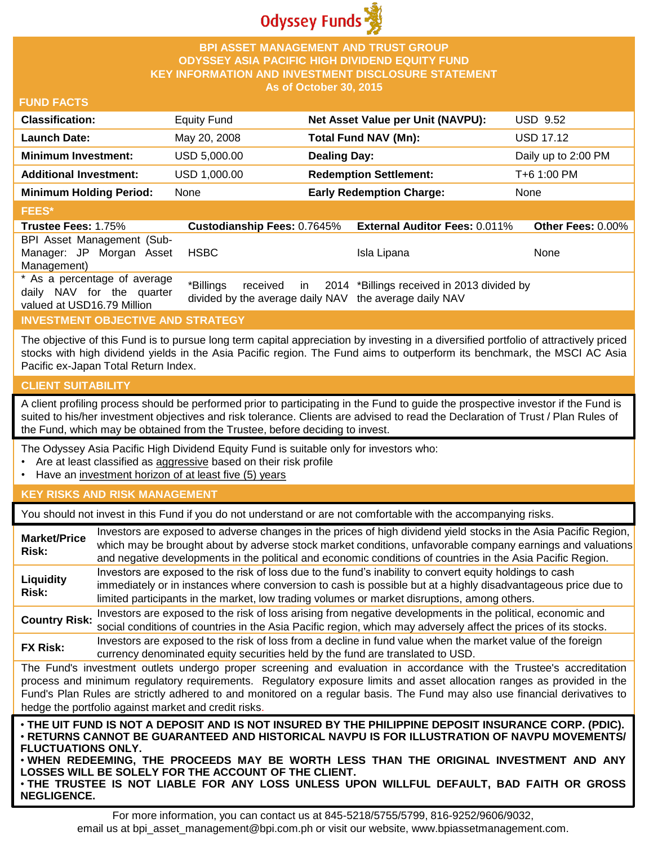

# **BPI ASSET MANAGEMENT AND TRUST GROUP ODYSSEY ASIA PACIFIC HIGH DIVIDEND EQUITY FUND KEY INFORMATION AND INVESTMENT DISCLOSURE STATEMENT As of October 30, 2015**

## **FUND FACTS**

| <b>Classification:</b>         | <b>Equity Fund</b> | Net Asset Value per Unit (NAVPU): | <b>USD 9.52</b>     |
|--------------------------------|--------------------|-----------------------------------|---------------------|
| <b>Launch Date:</b>            | May 20, 2008       | Total Fund NAV (Mn):              | <b>USD 17.12</b>    |
| <b>Minimum Investment:</b>     | USD 5,000.00       | <b>Dealing Day:</b>               | Daily up to 2:00 PM |
| <b>Additional Investment:</b>  | USD 1,000.00       | <b>Redemption Settlement:</b>     | T+6 1:00 PM         |
| <b>Minimum Holding Period:</b> | None               | <b>Early Redemption Charge:</b>   | None                |
| <b>FEES*</b>                   |                    |                                   |                     |

#### **Trustee Fees:** 1.75% **Custodianship Fees:** 0.7645% **External Auditor Fees:** 0.011% **Other Fees:** 0.00% BPI Asset Management (Sub-Manager: JP Morgan Asset Management) HSBC Isla Lipana None \* As a percentage of average daily NAV for the quarter valued at USD16.79 Million \*Billings received in divided by the average daily NAV the average daily NAV 2014 \*Billings received in 2013 divided by

# **INVESTMENT OBJECTIVE AND STRATEGY**

The objective of this Fund is to pursue long term capital appreciation by investing in a diversified portfolio of attractively priced stocks with high dividend yields in the Asia Pacific region. The Fund aims to outperform its benchmark, the MSCI AC Asia Pacific ex-Japan Total Return Index.

#### **CLIENT SUITABILITY**

A client profiling process should be performed prior to participating in the Fund to guide the prospective investor if the Fund is suited to his/her investment objectives and risk tolerance. Clients are advised to read the Declaration of Trust / Plan Rules of the Fund, which may be obtained from the Trustee, before deciding to invest.

The Odyssey Asia Pacific High Dividend Equity Fund is suitable only for investors who:

- Are at least classified as aggressive based on their risk profile
- Have an investment horizon of at least five (5) years

## **KEY RISKS AND RISK MANAGEMENT**

You should not invest in this Fund if you do not understand or are not comfortable with the accompanying risks.

| <b>Market/Price</b><br>Risk:                                                                                                                                                                                                                                                                                                                                                                                                         | Investors are exposed to adverse changes in the prices of high dividend yield stocks in the Asia Pacific Region,<br>which may be brought about by adverse stock market conditions, unfavorable company earnings and valuations<br>and negative developments in the political and economic conditions of countries in the Asia Pacific Region.        |  |
|--------------------------------------------------------------------------------------------------------------------------------------------------------------------------------------------------------------------------------------------------------------------------------------------------------------------------------------------------------------------------------------------------------------------------------------|------------------------------------------------------------------------------------------------------------------------------------------------------------------------------------------------------------------------------------------------------------------------------------------------------------------------------------------------------|--|
| Liquidity<br>Risk:                                                                                                                                                                                                                                                                                                                                                                                                                   | Investors are exposed to the risk of loss due to the fund's inability to convert equity holdings to cash<br>immediately or in instances where conversion to cash is possible but at a highly disadvantageous price due to<br>limited participants in the market, low trading volumes or market disruptions, among others.                            |  |
| <b>Country Risk:</b>                                                                                                                                                                                                                                                                                                                                                                                                                 | Investors are exposed to the risk of loss arising from negative developments in the political, economic and<br>social conditions of countries in the Asia Pacific region, which may adversely affect the prices of its stocks.                                                                                                                       |  |
| FX Risk:                                                                                                                                                                                                                                                                                                                                                                                                                             | Investors are exposed to the risk of loss from a decline in fund value when the market value of the foreign<br>currency denominated equity securities held by the fund are translated to USD.                                                                                                                                                        |  |
| The Fund's investment outlets undergo proper screening and evaluation in accordance with the Trustee's accreditation<br>process and minimum regulatory requirements. Regulatory exposure limits and asset allocation ranges as provided in the<br>Fund's Plan Rules are strictly adhered to and monitored on a regular basis. The Fund may also use financial derivatives to<br>hedge the portfolio against market and credit risks. |                                                                                                                                                                                                                                                                                                                                                      |  |
| <b>FLUCTUATIONS ONLY.</b>                                                                                                                                                                                                                                                                                                                                                                                                            | . THE UIT FUND IS NOT A DEPOSIT AND IS NOT INSURED BY THE PHILIPPINE DEPOSIT INSURANCE CORP. (PDIC).<br>· RETURNS CANNOT BE GUARANTEED AND HISTORICAL NAVPU IS FOR ILLUSTRATION OF NAVPU MOVEMENTS/<br>. WHEN REDEEMING, THE PROCEEDS MAY BE WORTH LESS THAN THE ORIGINAL INVESTMENT AND ANY<br>LOSSES WILL BE SOLELY FOR THE ACCOUNT OF THE CLIENT. |  |

• **THE TRUSTEE IS NOT LIABLE FOR ANY LOSS UNLESS UPON WILLFUL DEFAULT, BAD FAITH OR GROSS NEGLIGENCE.**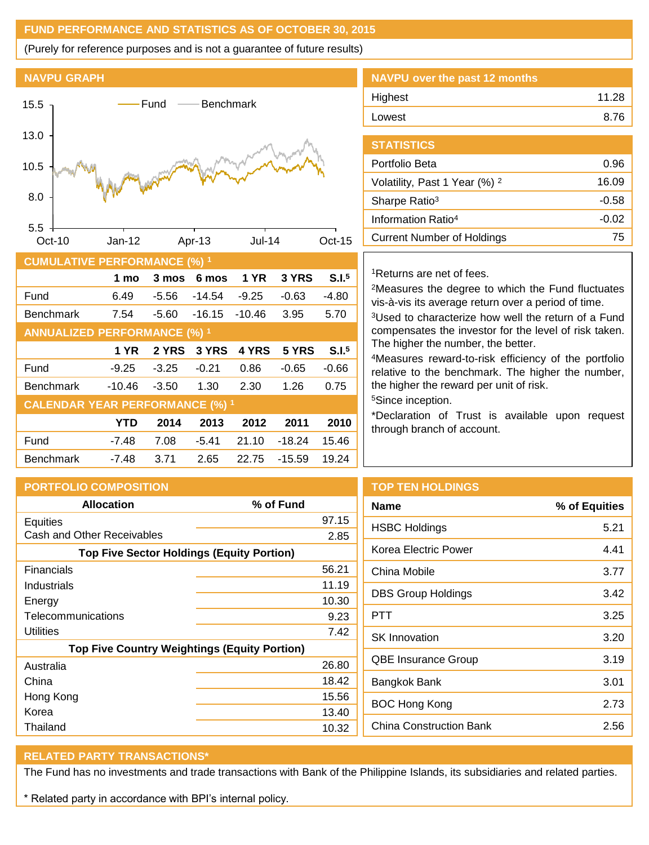# **FUND PERFORMANCE AND STATISTICS AS OF OCTOBER 30, 2015**

(Purely for reference purposes and is not a guarantee of future results)

# **NAVPU GRAPH**



| $\sim$                                 |             |         |          |             |          |                   |
|----------------------------------------|-------------|---------|----------|-------------|----------|-------------------|
|                                        | 1 mo        | 3 mos   | 6 mos    | <b>1 YR</b> | 3 YRS    | S.I. <sup>5</sup> |
| Fund                                   | 6.49        | $-5.56$ | $-14.54$ | $-9.25$     | $-0.63$  | $-4.80$           |
| <b>Benchmark</b>                       | 7.54        | $-5.60$ | $-16.15$ | $-10.46$    | 3.95     | 5.70              |
| <b>ANNUALIZED PERFORMANCE (%) 1</b>    |             |         |          |             |          |                   |
|                                        | <b>1 YR</b> | 2 YRS   | 3 YRS    | 4 YRS       | 5 YRS    | S.I. <sup>5</sup> |
| Fund                                   | $-9.25$     | $-3.25$ | $-0.21$  | 0.86        | $-0.65$  | $-0.66$           |
| <b>Benchmark</b>                       | $-10.46$    | $-3.50$ | 1.30     | 2.30        | 1.26     | 0.75              |
| <b>CALENDAR YEAR PERFORMANCE (%) 1</b> |             |         |          |             |          |                   |
|                                        | <b>YTD</b>  | 2014    | 2013     | 2012        | 2011     | 2010              |
| Fund                                   | $-7.48$     | 7.08    | $-5.41$  | 21.10       | $-18.24$ | 15.46             |
| <b>Benchmark</b>                       | $-7.48$     | 3.71    | 2.65     | 22.75       | $-15.59$ | 19.24             |

| NAVPU over the past 12 months |       |
|-------------------------------|-------|
| Highest                       | 11.28 |
| Lowest                        | 8.76  |
|                               |       |

| <b>STATISTICS</b>                        |         |
|------------------------------------------|---------|
| Portfolio Beta                           | 0.96    |
| Volatility, Past 1 Year (%) <sup>2</sup> | 16.09   |
| Sharpe Ratio <sup>3</sup>                | -0.58   |
| Information Ratio <sup>4</sup>           | $-0.02$ |
| <b>Current Number of Holdings</b>        | 75      |
|                                          |         |

# <sup>1</sup>Returns are net of fees.

<sup>2</sup>Measures the degree to which the Fund fluctuates vis-à-vis its average return over a period of time.

<sup>3</sup>Used to characterize how well the return of a Fund compensates the investor for the level of risk taken. The higher the number, the better.

<sup>4</sup>Measures reward-to-risk efficiency of the portfolio relative to the benchmark. The higher the number, the higher the reward per unit of risk.

<sup>5</sup>Since inception.

\*Declaration of Trust is available upon request through branch of account.

**Name % of Equities**

| <b>PORTFOLIO COMPOSITION</b>                        |           | <b>TOP TEN HOLDINGS</b>    |  |
|-----------------------------------------------------|-----------|----------------------------|--|
| <b>Allocation</b>                                   | % of Fund | <b>Name</b>                |  |
| Equities                                            | 97.15     | <b>HSBC Holdings</b>       |  |
| Cash and Other Receivables                          | 2.85      | Korea Electric Power       |  |
| <b>Top Five Sector Holdings (Equity Portion)</b>    |           |                            |  |
| <b>Financials</b>                                   | 56.21     | China Mobile               |  |
| Industrials                                         | 11.19     | <b>DBS Group Holdings</b>  |  |
| Energy                                              | 10.30     |                            |  |
| Telecommunications                                  | 9.23      | <b>PTT</b>                 |  |
| <b>Utilities</b>                                    | 7.42      | <b>SK Innovation</b>       |  |
| <b>Top Five Country Weightings (Equity Portion)</b> |           |                            |  |
| Australia                                           | 26.80     | <b>QBE Insurance Group</b> |  |
| China                                               | 18.42     | Bangkok Bank               |  |
| Hong Kong                                           | 15.56     | <b>BOC Hong Kong</b>       |  |
| Korea                                               | 13.40     |                            |  |
| Thailand                                            | 10.32     | China Construction Ba      |  |

| 191 TEN INSEPTINGS |  |
|--------------------|--|
| <b>\</b> ame       |  |
| JSRC Holdings      |  |

| <b>HSBC Holdings</b>       | 5.21 |
|----------------------------|------|
| Korea Electric Power       | 4.41 |
| China Mobile               | 3.77 |
| <b>DBS Group Holdings</b>  | 3.42 |
| PTT                        | 3.25 |
| <b>SK Innovation</b>       | 3.20 |
| <b>QBE Insurance Group</b> | 3.19 |
| Bangkok Bank               | 3.01 |
| <b>BOC Hong Kong</b>       | 2.73 |
| China Construction Bank    | 2.56 |
|                            |      |

# **RELATED PARTY TRANSACTIONS\***

The Fund has no investments and trade transactions with Bank of the Philippine Islands, its subsidiaries and related parties.

\* Related party in accordance with BPI's internal policy.